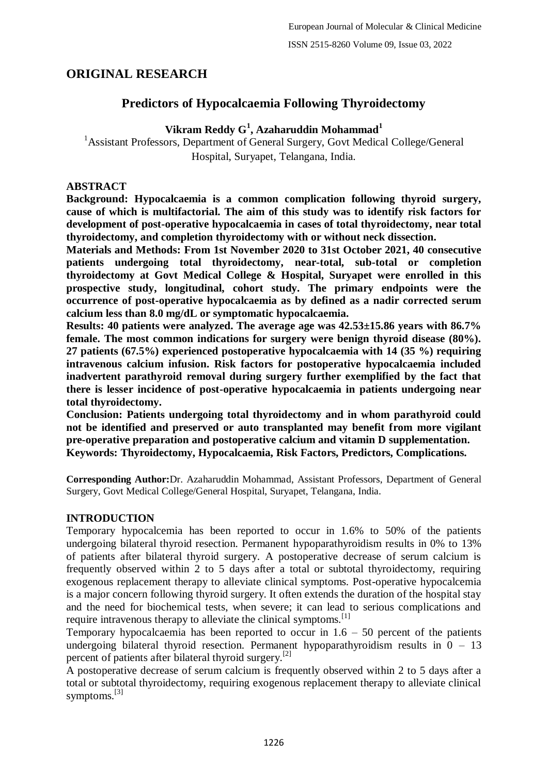# **ORIGINAL RESEARCH**

# **Predictors of Hypocalcaemia Following Thyroidectomy**

# **Vikram Reddy G<sup>1</sup> , Azaharuddin Mohammad<sup>1</sup>**

<sup>1</sup> Assistant Professors, Department of General Surgery, Govt Medical College/General Hospital, Suryapet, Telangana, India.

### **ABSTRACT**

**Background: Hypocalcaemia is a common complication following thyroid surgery, cause of which is multifactorial. The aim of this study was to identify risk factors for development of post-operative hypocalcaemia in cases of total thyroidectomy, near total thyroidectomy, and completion thyroidectomy with or without neck dissection.**

**Materials and Methods: From 1st November 2020 to 31st October 2021, 40 consecutive patients undergoing total thyroidectomy, near-total, sub-total or completion thyroidectomy at Govt Medical College & Hospital, Suryapet were enrolled in this prospective study, longitudinal, cohort study. The primary endpoints were the occurrence of post-operative hypocalcaemia as by defined as a nadir corrected serum calcium less than 8.0 mg/dL or symptomatic hypocalcaemia.**

**Results: 40 patients were analyzed. The average age was 42.53±15.86 years with 86.7% female. The most common indications for surgery were benign thyroid disease (80%). 27 patients (67.5%) experienced postoperative hypocalcaemia with 14 (35 %) requiring intravenous calcium infusion. Risk factors for postoperative hypocalcaemia included inadvertent parathyroid removal during surgery further exemplified by the fact that there is lesser incidence of post-operative hypocalcaemia in patients undergoing near total thyroidectomy.**

**Conclusion: Patients undergoing total thyroidectomy and in whom parathyroid could not be identified and preserved or auto transplanted may benefit from more vigilant pre-operative preparation and postoperative calcium and vitamin D supplementation. Keywords: Thyroidectomy, Hypocalcaemia, Risk Factors, Predictors, Complications.**

**Corresponding Author:**Dr. Azaharuddin Mohammad, Assistant Professors, Department of General Surgery, Govt Medical College/General Hospital, Suryapet, Telangana, India.

# **INTRODUCTION**

Temporary hypocalcemia has been reported to occur in 1.6% to 50% of the patients undergoing bilateral thyroid resection. Permanent hypoparathyroidism results in 0% to 13% of patients after bilateral thyroid surgery. A postoperative decrease of serum calcium is frequently observed within 2 to 5 days after a total or subtotal thyroidectomy, requiring exogenous replacement therapy to alleviate clinical symptoms. Post-operative hypocalcemia is a major concern following thyroid surgery. It often extends the duration of the hospital stay and the need for biochemical tests, when severe; it can lead to serious complications and require intravenous therapy to alleviate the clinical symptoms.<sup>[1]</sup>

Temporary hypocalcaemia has been reported to occur in  $1.6 - 50$  percent of the patients undergoing bilateral thyroid resection. Permanent hypoparathyroidism results in  $0 - 13$ percent of patients after bilateral thyroid surgery.[2]

A postoperative decrease of serum calcium is frequently observed within 2 to 5 days after a total or subtotal thyroidectomy, requiring exogenous replacement therapy to alleviate clinical symptoms.<sup>[3]</sup>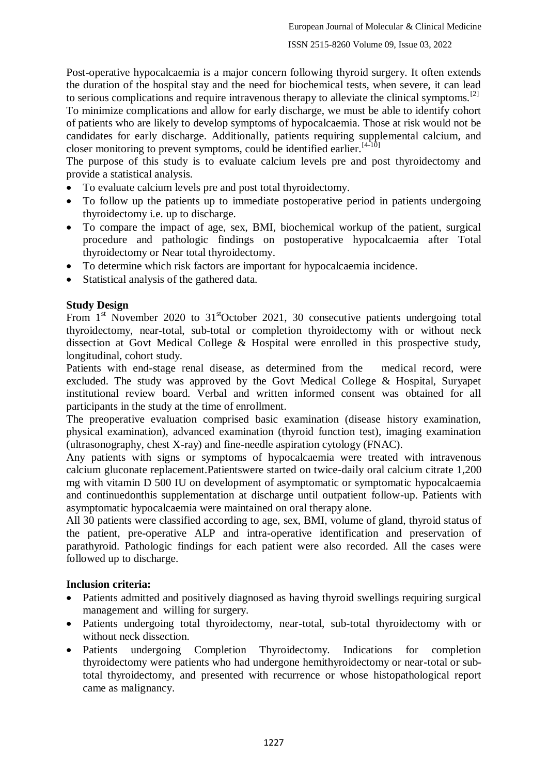Post-operative hypocalcaemia is a major concern following thyroid surgery. It often extends the duration of the hospital stay and the need for biochemical tests, when severe, it can lead to serious complications and require intravenous therapy to alleviate the clinical symptoms.<sup>[2]</sup> To minimize complications and allow for early discharge, we must be able to identify cohort of patients who are likely to develop symptoms of hypocalcaemia. Those at risk would not be candidates for early discharge. Additionally, patients requiring supplemental calcium, and closer monitoring to prevent symptoms, could be identified earlier.<sup>[4-10]</sup>

The purpose of this study is to evaluate calcium levels pre and post thyroidectomy and provide a statistical analysis.

- To evaluate calcium levels pre and post total thyroidectomy.
- To follow up the patients up to immediate postoperative period in patients undergoing thyroidectomy i.e. up to discharge.
- To compare the impact of age, sex, BMI, biochemical workup of the patient, surgical procedure and pathologic findings on postoperative hypocalcaemia after Total thyroidectomy or Near total thyroidectomy.
- To determine which risk factors are important for hypocalcaemia incidence.
- Statistical analysis of the gathered data.

# **Study Design**

From  $1<sup>st</sup>$  November 2020 to  $31<sup>st</sup>$ October 2021, 30 consecutive patients undergoing total thyroidectomy, near-total, sub-total or completion thyroidectomy with or without neck dissection at Govt Medical College & Hospital were enrolled in this prospective study, longitudinal, cohort study.

Patients with end-stage renal disease, as determined from the medical record, were excluded. The study was approved by the Govt Medical College & Hospital, Suryapet institutional review board. Verbal and written informed consent was obtained for all participants in the study at the time of enrollment.

The preoperative evaluation comprised basic examination (disease history examination, physical examination), advanced examination (thyroid function test), imaging examination (ultrasonography, chest X-ray) and fine-needle aspiration cytology (FNAC).

Any patients with signs or symptoms of hypocalcaemia were treated with intravenous calcium gluconate replacement.Patientswere started on twice-daily oral calcium citrate 1,200 mg with vitamin D 500 IU on development of asymptomatic or symptomatic hypocalcaemia and continuedonthis supplementation at discharge until outpatient follow-up. Patients with asymptomatic hypocalcaemia were maintained on oral therapy alone.

All 30 patients were classified according to age, sex, BMI, volume of gland, thyroid status of the patient, pre-operative ALP and intra-operative identification and preservation of parathyroid. Pathologic findings for each patient were also recorded. All the cases were followed up to discharge.

# **Inclusion criteria:**

- Patients admitted and positively diagnosed as having thyroid swellings requiring surgical management and willing for surgery.
- Patients undergoing total thyroidectomy, near-total, sub-total thyroidectomy with or without neck dissection.
- Patients undergoing Completion Thyroidectomy. Indications for completion thyroidectomy were patients who had undergone hemithyroidectomy or near-total or subtotal thyroidectomy, and presented with recurrence or whose histopathological report came as malignancy.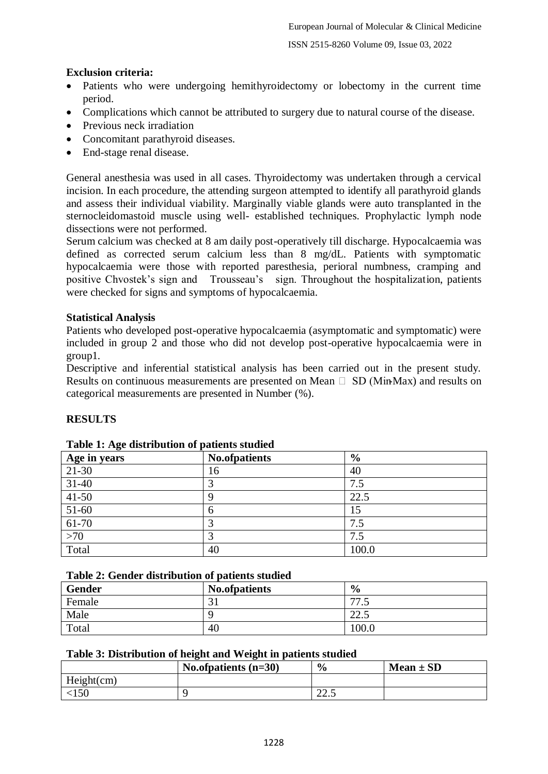# ISSN 2515-8260 Volume 09, Issue 03, 2022

# **Exclusion criteria:**

- Patients who were undergoing hemithyroidectomy or lobectomy in the current time period.
- Complications which cannot be attributed to surgery due to natural course of the disease.
- Previous neck irradiation
- Concomitant parathyroid diseases.
- End-stage renal disease.

General anesthesia was used in all cases. Thyroidectomy was undertaken through a cervical incision. In each procedure, the attending surgeon attempted to identify all parathyroid glands and assess their individual viability. Marginally viable glands were auto transplanted in the sternocleidomastoid muscle using well- established techniques. Prophylactic lymph node dissections were not performed.

Serum calcium was checked at 8 am daily post-operatively till discharge. Hypocalcaemia was defined as corrected serum calcium less than 8 mg/dL. Patients with symptomatic hypocalcaemia were those with reported paresthesia, perioral numbness, cramping and positive Chvostek's sign and Trousseau's sign. Throughout the hospitalization, patients were checked for signs and symptoms of hypocalcaemia.

# **Statistical Analysis**

Patients who developed post-operative hypocalcaemia (asymptomatic and symptomatic) were included in group 2 and those who did not develop post-operative hypocalcaemia were in group1.

Descriptive and inferential statistical analysis has been carried out in the present study. Results on continuous measurements are presented on Mean  $\Box$  SD (Min-Max) and results on categorical measurements are presented in Number (%).

# **RESULTS**

| $\tilde{\phantom{a}}$<br>Age in years | <b>No.ofpatients</b> | $\frac{6}{9}$ |
|---------------------------------------|----------------------|---------------|
| $21-30$                               | 16                   | 40            |
| $31-40$                               | 3                    | 7.5           |
| $41-50$                               | 9                    | 22.5          |
| $51-60$                               | 6                    | 15            |
| $61-70$                               | 3                    | 7.5           |
| $>70$                                 |                      | 7.5           |
| Total                                 | 40                   | 100.0         |

### **Table 1: Age distribution of patients studied**

| <b>Gender</b> | No.ofpatients | $\frac{6}{9}$  |
|---------------|---------------|----------------|
| Female        | $\sim$<br>◡▴  | 77<br>ໍ່       |
| Male          |               | nη<br>ل . کا ک |
| Total         | 40            | 100.0          |

### **Table 3: Distribution of height and Weight in patients studied**

|            | No.of patients $(n=30)$ | $\frac{0}{0}$           | $Mean \pm SD$ |
|------------|-------------------------|-------------------------|---------------|
| Height(cm) |                         |                         |               |
|            |                         | $\cap$ $\cap$<br>ر. . ے |               |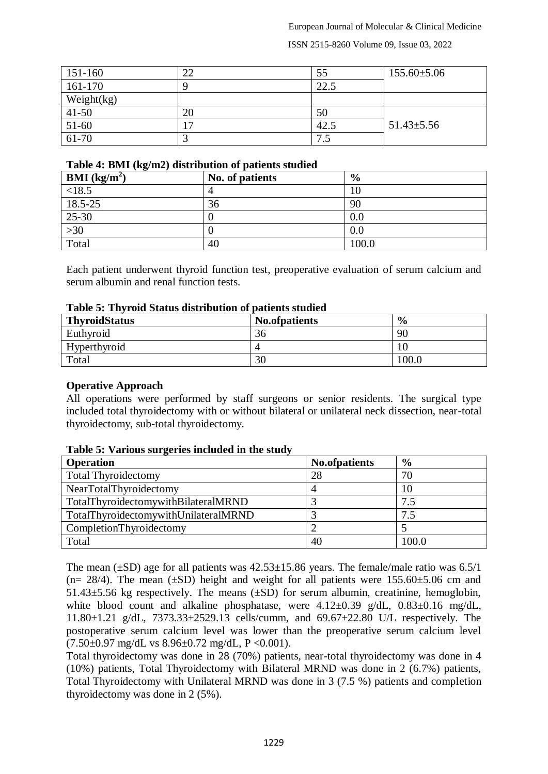#### ISSN 2515-8260 Volume 09, Issue 03, 2022

| $151-160$     | 22 | 55         | $155.60 \pm 5.06$ |
|---------------|----|------------|-------------------|
| 161-170       |    | 22.5       |                   |
| Weight $(kg)$ |    |            |                   |
| $41 - 50$     | 20 | 50         |                   |
| 51-60         | 17 | 42.5       | $51.43 \pm 5.56$  |
| $61-70$       |    | 75<br>כ. ו |                   |

#### **Table 4: BMI (kg/m2) distribution of patients studied**

| $\sim$ $\sim$<br><b>BMI</b> ( $kg/m2$ ) | No. of patients | $\frac{6}{9}$ |
|-----------------------------------------|-----------------|---------------|
| < 18.5                                  |                 | 10            |
| 18.5-25                                 | 36              | 90            |
| $25-30$                                 |                 | $0.0\,$       |
| $>30$                                   |                 | 0.0           |
| Total                                   | 40              | 100.0         |

Each patient underwent thyroid function test, preoperative evaluation of serum calcium and serum albumin and renal function tests.

### **Table 5: Thyroid Status distribution of patients studied**

| <b>ThyroidStatus</b> | No.ofpatients | $\frac{6}{9}$ |
|----------------------|---------------|---------------|
| Euthyroid            | 36            | 90            |
| Hyperthyroid         |               | ЦU            |
| Total                | 30            | 100.0         |

**Operative Approach**

All operations were performed by staff surgeons or senior residents. The surgical type included total thyroidectomy with or without bilateral or unilateral neck dissection, near-total thyroidectomy, sub-total thyroidectomy.

| <b>Operation</b>                     | No.ofpatients | $\frac{6}{6}$ |
|--------------------------------------|---------------|---------------|
| <b>Total Thyroidectomy</b>           | 28            | 70            |
| NearTotalThyroidectomy               |               | 10            |
| TotalThyroidectomywithBilateralMRND  |               | 7.5           |
| TotalThyroidectomywithUnilateralMRND |               | 7.5           |
| CompletionThyroidectomy              |               |               |
| Total                                | 40            | 100.0         |

### **Table 5: Various surgeries included in the study**

The mean  $(\pm SD)$  age for all patients was  $42.53\pm15.86$  years. The female/male ratio was 6.5/1 (n= 28/4). The mean ( $\pm$ SD) height and weight for all patients were 155.60 $\pm$ 5.06 cm and  $51.43\pm5.56$  kg respectively. The means  $(\pm SD)$  for serum albumin, creatinine, hemoglobin, white blood count and alkaline phosphatase, were  $4.12\pm0.39$  g/dL,  $0.83\pm0.16$  mg/dL, 11.80±1.21 g/dL, 7373.33±2529.13 cells/cumm, and 69.67±22.80 U/L respectively. The postoperative serum calcium level was lower than the preoperative serum calcium level  $(7.50\pm0.97 \text{ mg/dL vs } 8.96\pm0.72 \text{ mg/dL}, P < 0.001).$ 

Total thyroidectomy was done in 28 (70%) patients, near-total thyroidectomy was done in 4 (10%) patients, Total Thyroidectomy with Bilateral MRND was done in 2 (6.7%) patients, Total Thyroidectomy with Unilateral MRND was done in 3 (7.5 %) patients and completion thyroidectomy was done in 2 (5%).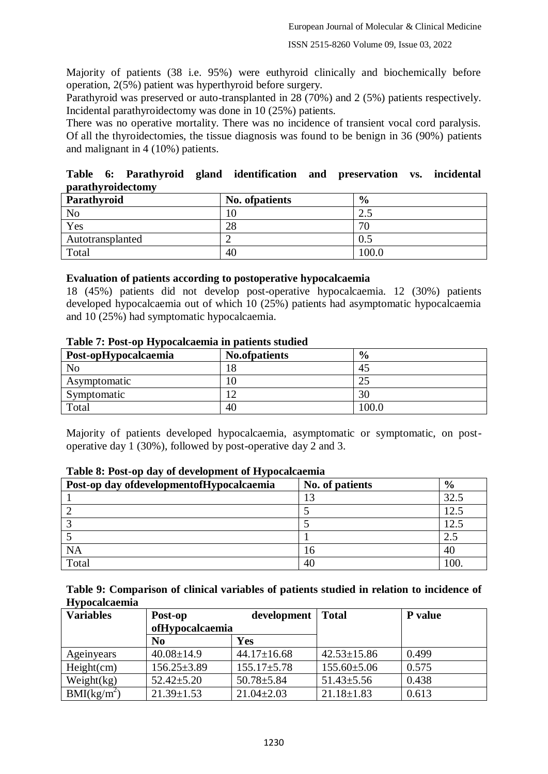Majority of patients (38 i.e. 95%) were euthyroid clinically and biochemically before operation, 2(5%) patient was hyperthyroid before surgery.

Parathyroid was preserved or auto-transplanted in 28 (70%) and 2 (5%) patients respectively. Incidental parathyroidectomy was done in 10 (25%) patients.

There was no operative mortality. There was no incidence of transient vocal cord paralysis. Of all the thyroidectomies, the tissue diagnosis was found to be benign in 36 (90%) patients and malignant in 4 (10%) patients.

**Table 6: Parathyroid gland identification and preservation vs. incidental parathyroidectomy**

| Parathyroid      | No. of patients | $\frac{6}{9}$ |
|------------------|-----------------|---------------|
| N <sub>o</sub>   | 10              | ر. ک          |
| Yes              | 28              | 70            |
| Autotransplanted |                 |               |
| Total            | 40              | 100.0         |

### **Evaluation of patients according to postoperative hypocalcaemia**

18 (45%) patients did not develop post-operative hypocalcaemia. 12 (30%) patients developed hypocalcaemia out of which 10 (25%) patients had asymptomatic hypocalcaemia and 10 (25%) had symptomatic hypocalcaemia.

| Post-opHypocalcaemia | <b>No.ofpatients</b> | $\frac{6}{6}$ |  |
|----------------------|----------------------|---------------|--|
| No                   |                      | 45            |  |
| Asymptomatic         |                      |               |  |
| Symptomatic          |                      | 30            |  |
| Total                | 40                   | 100.0         |  |

#### **Table 7: Post-op Hypocalcaemia in patients studied**

Majority of patients developed hypocalcaemia, asymptomatic or symptomatic, on postoperative day 1 (30%), followed by post-operative day 2 and 3.

| $\sim$ $\sim$ $\sim$<br>Post-op day of development of Hypocal caemia | No. of patients | $\frac{6}{9}$ |
|----------------------------------------------------------------------|-----------------|---------------|
|                                                                      |                 | 32.5          |
|                                                                      |                 |               |
|                                                                      |                 | 12.5          |
|                                                                      |                 | 2.5           |
| NΑ                                                                   |                 | 40            |
| Total                                                                | 40              | 100           |

### **Table 8: Post-op day of development of Hypocalcaemia**

**Table 9: Comparison of clinical variables of patients studied in relation to incidence of Hypocalcaemia**

| <b>Variables</b> | Post-op           | development       | Total             | <b>P</b> value |
|------------------|-------------------|-------------------|-------------------|----------------|
|                  | ofHypocalcaemia   |                   |                   |                |
|                  | N <sub>0</sub>    | Yes               |                   |                |
| Ageinyears       | $40.08 \pm 14.9$  | $44.17 \pm 16.68$ | $42.53 \pm 15.86$ | 0.499          |
| Height(cm)       | $156.25 \pm 3.89$ | $155.17 \pm 5.78$ | $155.60 \pm 5.06$ | 0.575          |
| Weight(kg)       | $52.42 \pm 5.20$  | $50.78 \pm 5.84$  | $51.43 \pm 5.56$  | 0.438          |
| $BMI(kg/m^2)$    | $21.39 \pm 1.53$  | $21.04 \pm 2.03$  | $21.18 \pm 1.83$  | 0.613          |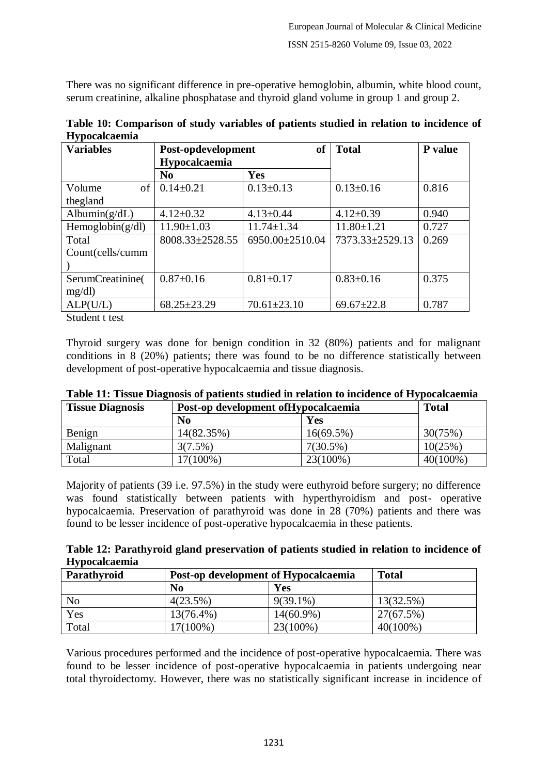There was no significant difference in pre-operative hemoglobin, albumin, white blood count, serum creatinine, alkaline phosphatase and thyroid gland volume in group 1 and group 2.

| <b>Variables</b>    | <sub>of</sub><br>Post-opdevelopment |                   | <b>Total</b>     | P value |
|---------------------|-------------------------------------|-------------------|------------------|---------|
|                     | Hypocalcaemia                       |                   |                  |         |
|                     | N <sub>0</sub>                      | Yes               |                  |         |
| Volume<br>of        | $0.14 \pm 0.21$                     | $0.13 \pm 0.13$   | $0.13 \pm 0.16$  | 0.816   |
| thegland            |                                     |                   |                  |         |
| Albumin $(g/dL)$    | $4.12 \pm 0.32$                     | $4.13 \pm 0.44$   | $4.12 \pm 0.39$  | 0.940   |
| Hemoglobin $(g/dl)$ | $11.90 \pm 1.03$                    | $11.74 \pm 1.34$  | $11.80 \pm 1.21$ | 0.727   |
| Total               | 8008.33±2528.55                     | 6950.00±2510.04   | 7373.33±2529.13  | 0.269   |
| Count(cells/cumm    |                                     |                   |                  |         |
|                     |                                     |                   |                  |         |
| SerumCreatinine(    | $0.87 \pm 0.16$                     | $0.81 \pm 0.17$   | $0.83 \pm 0.16$  | 0.375   |
| mg/dl               |                                     |                   |                  |         |
| ALP(U/L)            | $68.25 \pm 23.29$                   | $70.61 \pm 23.10$ | $69.67 \pm 22.8$ | 0.787   |

**Table 10: Comparison of study variables of patients studied in relation to incidence of Hypocalcaemia**

Student t test

Thyroid surgery was done for benign condition in 32 (80%) patients and for malignant conditions in 8 (20%) patients; there was found to be no difference statistically between development of post-operative hypocalcaemia and tissue diagnosis.

| <b>Tissue Diagnosis</b> | Post-op development of Hypocalcaemia |             | <b>Total</b> |  |
|-------------------------|--------------------------------------|-------------|--------------|--|
|                         | N <sub>0</sub>                       | Yes         |              |  |
| Benign                  | 14(82.35%)                           | 16(69.5%)   | 30(75%)      |  |
| Malignant               | $3(7.5\%)$                           | $7(30.5\%)$ | 10(25%)      |  |
| Total                   | $17(100\%)$                          | $23(100\%)$ | $40(100\%)$  |  |

**Table 11: Tissue Diagnosis of patients studied in relation to incidence of Hypocalcaemia**

Majority of patients (39 i.e. 97.5%) in the study were euthyroid before surgery; no difference was found statistically between patients with hyperthyroidism and post- operative hypocalcaemia. Preservation of parathyroid was done in 28 (70%) patients and there was found to be lesser incidence of post-operative hypocalcaemia in these patients.

**Table 12: Parathyroid gland preservation of patients studied in relation to incidence of Hypocalcaemia**

| Parathyroid    | Post-op development of Hypocalcaemia |              | <b>Total</b> |
|----------------|--------------------------------------|--------------|--------------|
|                | N <sub>0</sub>                       | <b>Yes</b>   |              |
| N <sub>o</sub> | 4(23.5%)                             | $9(39.1\%)$  | 13(32.5%)    |
| Yes            | 13(76.4%)                            | $14(60.9\%)$ | 27(67.5%)    |
| Total          | $17(100\%)$                          | 23(100%)     | $40(100\%)$  |

Various procedures performed and the incidence of post-operative hypocalcaemia. There was found to be lesser incidence of post-operative hypocalcaemia in patients undergoing near total thyroidectomy. However, there was no statistically significant increase in incidence of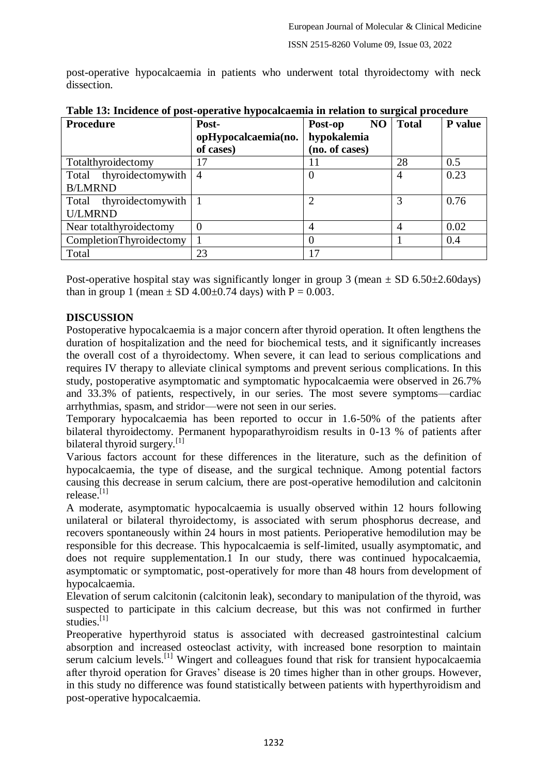post-operative hypocalcaemia in patients who underwent total thyroidectomy with neck dissection.

| <b>Procedure</b>        | Post-               | N <sub>O</sub><br>Post-op | <b>Total</b>   | P value |
|-------------------------|---------------------|---------------------------|----------------|---------|
|                         | opHypocalcaemia(no. | hypokalemia               |                |         |
|                         | of cases)           | (no. of cases)            |                |         |
| Totalthyroidectomy      | 17                  | 11                        | 28             | 0.5     |
| Total thyroidectomywith | $\overline{4}$      |                           | 4              | 0.23    |
| <b>B/LMRND</b>          |                     |                           |                |         |
| Total thyroidectomywith |                     |                           |                | 0.76    |
| <b>U/LMRND</b>          |                     |                           |                |         |
| Near totalthyroidectomy | $\overline{0}$      | $\overline{4}$            | $\overline{4}$ | 0.02    |
| CompletionThyroidectomy |                     |                           |                | 0.4     |
| Total                   | 23                  | 17                        |                |         |

| Table 13: Incidence of post-operative hypocalcaemia in relation to surgical procedure |  |  |
|---------------------------------------------------------------------------------------|--|--|
|                                                                                       |  |  |

Post-operative hospital stay was significantly longer in group 3 (mean  $\pm$  SD 6.50 $\pm$ 2.60days) than in group 1 (mean  $\pm$  SD 4.00 $\pm$ 0.74 days) with P = 0.003.

# **DISCUSSION**

Postoperative hypocalcaemia is a major concern after thyroid operation. It often lengthens the duration of hospitalization and the need for biochemical tests, and it significantly increases the overall cost of a thyroidectomy. When severe, it can lead to serious complications and requires IV therapy to alleviate clinical symptoms and prevent serious complications. In this study, postoperative asymptomatic and symptomatic hypocalcaemia were observed in 26.7% and 33.3% of patients, respectively, in our series. The most severe symptoms—cardiac arrhythmias, spasm, and stridor—were not seen in our series.

Temporary hypocalcaemia has been reported to occur in 1.6-50% of the patients after bilateral thyroidectomy. Permanent hypoparathyroidism results in 0-13 % of patients after bilateral thyroid surgery.<sup>[1]</sup>

Various factors account for these differences in the literature, such as the definition of hypocalcaemia, the type of disease, and the surgical technique. Among potential factors causing this decrease in serum calcium, there are post-operative hemodilution and calcitonin release.[1]

A moderate, asymptomatic hypocalcaemia is usually observed within 12 hours following unilateral or bilateral thyroidectomy, is associated with serum phosphorus decrease, and recovers spontaneously within 24 hours in most patients. Perioperative hemodilution may be responsible for this decrease. This hypocalcaemia is self-limited, usually asymptomatic, and does not require supplementation.1 In our study, there was continued hypocalcaemia, asymptomatic or symptomatic, post-operatively for more than 48 hours from development of hypocalcaemia.

Elevation of serum calcitonin (calcitonin leak), secondary to manipulation of the thyroid, was suspected to participate in this calcium decrease, but this was not confirmed in further studies<sup>[1]</sup>

Preoperative hyperthyroid status is associated with decreased gastrointestinal calcium absorption and increased osteoclast activity, with increased bone resorption to maintain serum calcium levels.<sup>[1]</sup> Wingert and colleagues found that risk for transient hypocalcaemia after thyroid operation for Graves' disease is 20 times higher than in other groups. However, in this study no difference was found statistically between patients with hyperthyroidism and post-operative hypocalcaemia.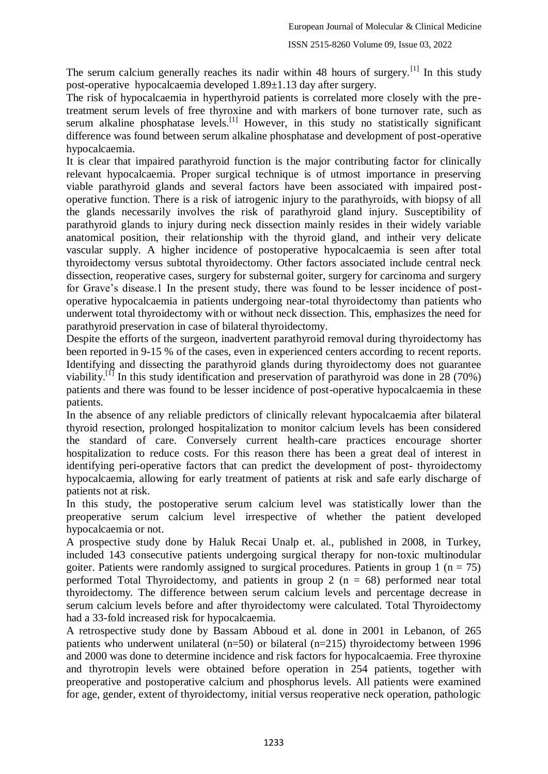The serum calcium generally reaches its nadir within 48 hours of surgery.<sup>[1]</sup> In this study post-operative hypocalcaemia developed 1.89±1.13 day after surgery.

The risk of hypocalcaemia in hyperthyroid patients is correlated more closely with the pretreatment serum levels of free thyroxine and with markers of bone turnover rate, such as serum alkaline phosphatase levels.<sup>[1]</sup> However, in this study no statistically significant difference was found between serum alkaline phosphatase and development of post-operative hypocalcaemia.

It is clear that impaired parathyroid function is the major contributing factor for clinically relevant hypocalcaemia. Proper surgical technique is of utmost importance in preserving viable parathyroid glands and several factors have been associated with impaired postoperative function. There is a risk of iatrogenic injury to the parathyroids, with biopsy of all the glands necessarily involves the risk of parathyroid gland injury. Susceptibility of parathyroid glands to injury during neck dissection mainly resides in their widely variable anatomical position, their relationship with the thyroid gland, and intheir very delicate vascular supply. A higher incidence of postoperative hypocalcaemia is seen after total thyroidectomy versus subtotal thyroidectomy. Other factors associated include central neck dissection, reoperative cases, surgery for substernal goiter, surgery for carcinoma and surgery for Grave's disease.1 In the present study, there was found to be lesser incidence of postoperative hypocalcaemia in patients undergoing near-total thyroidectomy than patients who underwent total thyroidectomy with or without neck dissection. This, emphasizes the need for parathyroid preservation in case of bilateral thyroidectomy.

Despite the efforts of the surgeon, inadvertent parathyroid removal during thyroidectomy has been reported in 9-15 % of the cases, even in experienced centers according to recent reports. Identifying and dissecting the parathyroid glands during thyroidectomy does not guarantee viability.<sup>[1]</sup> In this study identification and preservation of parathyroid was done in 28 (70%) patients and there was found to be lesser incidence of post-operative hypocalcaemia in these patients.

In the absence of any reliable predictors of clinically relevant hypocalcaemia after bilateral thyroid resection, prolonged hospitalization to monitor calcium levels has been considered the standard of care. Conversely current health-care practices encourage shorter hospitalization to reduce costs. For this reason there has been a great deal of interest in identifying peri-operative factors that can predict the development of post- thyroidectomy hypocalcaemia, allowing for early treatment of patients at risk and safe early discharge of patients not at risk.

In this study, the postoperative serum calcium level was statistically lower than the preoperative serum calcium level irrespective of whether the patient developed hypocalcaemia or not.

A prospective study done by Haluk Recai Unalp et. al., published in 2008, in Turkey, included 143 consecutive patients undergoing surgical therapy for non-toxic multinodular goiter. Patients were randomly assigned to surgical procedures. Patients in group 1 ( $n = 75$ ) performed Total Thyroidectomy, and patients in group 2 ( $n = 68$ ) performed near total thyroidectomy. The difference between serum calcium levels and percentage decrease in serum calcium levels before and after thyroidectomy were calculated. Total Thyroidectomy had a 33-fold increased risk for hypocalcaemia.

A retrospective study done by Bassam Abboud et al. done in 2001 in Lebanon, of 265 patients who underwent unilateral (n=50) or bilateral (n=215) thyroidectomy between 1996 and 2000 was done to determine incidence and risk factors for hypocalcaemia. Free thyroxine and thyrotropin levels were obtained before operation in 254 patients, together with preoperative and postoperative calcium and phosphorus levels. All patients were examined for age, gender, extent of thyroidectomy, initial versus reoperative neck operation, pathologic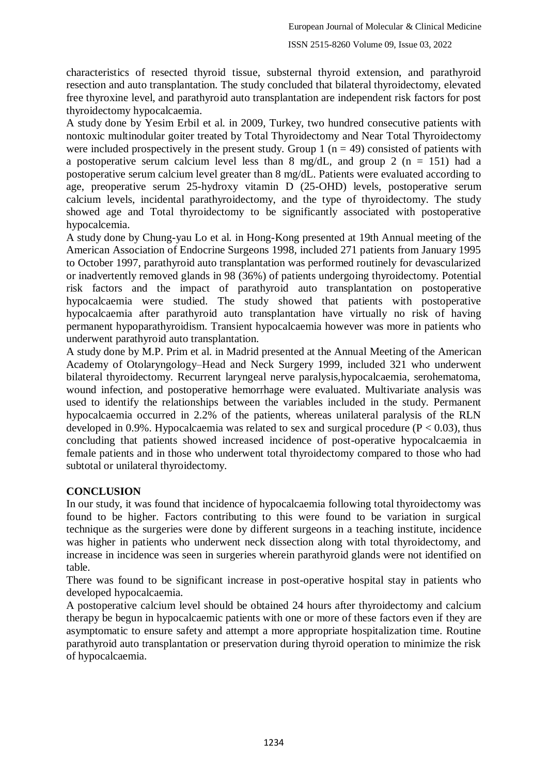#### ISSN 2515-8260 Volume 09, Issue 03, 2022

characteristics of resected thyroid tissue, substernal thyroid extension, and parathyroid resection and auto transplantation. The study concluded that bilateral thyroidectomy, elevated free thyroxine level, and parathyroid auto transplantation are independent risk factors for post thyroidectomy hypocalcaemia.

A study done by Yesim Erbil et al. in 2009, Turkey, two hundred consecutive patients with nontoxic multinodular goiter treated by Total Thyroidectomy and Near Total Thyroidectomy were included prospectively in the present study. Group 1 ( $n = 49$ ) consisted of patients with a postoperative serum calcium level less than 8 mg/dL, and group 2 ( $n = 151$ ) had a postoperative serum calcium level greater than 8 mg/dL. Patients were evaluated according to age, preoperative serum 25-hydroxy vitamin D (25-OHD) levels, postoperative serum calcium levels, incidental parathyroidectomy, and the type of thyroidectomy. The study showed age and Total thyroidectomy to be significantly associated with postoperative hypocalcemia.

A study done by Chung-yau Lo et al. in Hong-Kong presented at 19th Annual meeting of the American Association of Endocrine Surgeons 1998, included 271 patients from January 1995 to October 1997, parathyroid auto transplantation was performed routinely for devascularized or inadvertently removed glands in 98 (36%) of patients undergoing thyroidectomy. Potential risk factors and the impact of parathyroid auto transplantation on postoperative hypocalcaemia were studied. The study showed that patients with postoperative hypocalcaemia after parathyroid auto transplantation have virtually no risk of having permanent hypoparathyroidism. Transient hypocalcaemia however was more in patients who underwent parathyroid auto transplantation.

A study done by M.P. Prim et al. in Madrid presented at the Annual Meeting of the American Academy of Otolaryngology–Head and Neck Surgery 1999, included 321 who underwent bilateral thyroidectomy. Recurrent laryngeal nerve paralysis,hypocalcaemia, serohematoma, wound infection, and postoperative hemorrhage were evaluated. Multivariate analysis was used to identify the relationships between the variables included in the study. Permanent hypocalcaemia occurred in 2.2% of the patients, whereas unilateral paralysis of the RLN developed in 0.9%. Hypocalcaemia was related to sex and surgical procedure ( $P < 0.03$ ), thus concluding that patients showed increased incidence of post-operative hypocalcaemia in female patients and in those who underwent total thyroidectomy compared to those who had subtotal or unilateral thyroidectomy.

### **CONCLUSION**

In our study, it was found that incidence of hypocalcaemia following total thyroidectomy was found to be higher. Factors contributing to this were found to be variation in surgical technique as the surgeries were done by different surgeons in a teaching institute, incidence was higher in patients who underwent neck dissection along with total thyroidectomy, and increase in incidence was seen in surgeries wherein parathyroid glands were not identified on table.

There was found to be significant increase in post-operative hospital stay in patients who developed hypocalcaemia.

A postoperative calcium level should be obtained 24 hours after thyroidectomy and calcium therapy be begun in hypocalcaemic patients with one or more of these factors even if they are asymptomatic to ensure safety and attempt a more appropriate hospitalization time. Routine parathyroid auto transplantation or preservation during thyroid operation to minimize the risk of hypocalcaemia.